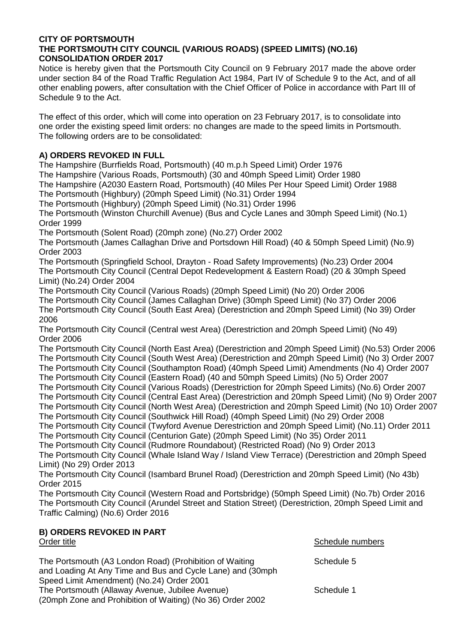## **CITY OF PORTSMOUTH THE PORTSMOUTH CITY COUNCIL (VARIOUS ROADS) (SPEED LIMITS) (NO.16) CONSOLIDATION ORDER 2017**

Notice is hereby given that the Portsmouth City Council on 9 February 2017 made the above order under section 84 of the Road Traffic Regulation Act 1984, Part IV of Schedule 9 to the Act, and of all other enabling powers, after consultation with the Chief Officer of Police in accordance with Part III of Schedule 9 to the Act.

The effect of this order, which will come into operation on 23 February 2017, is to consolidate into one order the existing speed limit orders: no changes are made to the speed limits in Portsmouth. The following orders are to be consolidated:

## **A) ORDERS REVOKED IN FULL**

The Hampshire (Burrfields Road, Portsmouth) (40 m.p.h Speed Limit) Order 1976 The Hampshire (Various Roads, Portsmouth) (30 and 40mph Speed Limit) Order 1980 The Hampshire (A2030 Eastern Road, Portsmouth) (40 Miles Per Hour Speed Limit) Order 1988 The Portsmouth (Highbury) (20mph Speed Limit) (No.31) Order 1994 The Portsmouth (Highbury) (20mph Speed Limit) (No.31) Order 1996 The Portsmouth (Winston Churchill Avenue) (Bus and Cycle Lanes and 30mph Speed Limit) (No.1) Order 1999 The Portsmouth (Solent Road) (20mph zone) (No.27) Order 2002 The Portsmouth (James Callaghan Drive and Portsdown Hill Road) (40 & 50mph Speed Limit) (No.9) Order 2003 The Portsmouth (Springfield School, Drayton - Road Safety Improvements) (No.23) Order 2004 The Portsmouth City Council (Central Depot Redevelopment & Eastern Road) (20 & 30mph Speed Limit) (No.24) Order 2004 The Portsmouth City Council (Various Roads) (20mph Speed Limit) (No 20) Order 2006 The Portsmouth City Council (James Callaghan Drive) (30mph Speed Limit) (No 37) Order 2006 The Portsmouth City Council (South East Area) (Derestriction and 20mph Speed Limit) (No 39) Order 2006 The Portsmouth City Council (Central west Area) (Derestriction and 20mph Speed Limit) (No 49) Order 2006 The Portsmouth City Council (North East Area) (Derestriction and 20mph Speed Limit) (No.53) Order 2006 The Portsmouth City Council (South West Area) (Derestriction and 20mph Speed Limit) (No 3) Order 2007 The Portsmouth City Council (Southampton Road) (40mph Speed Limit) Amendments (No 4) Order 2007 The Portsmouth City Council (Eastern Road) (40 and 50mph Speed Limits) (No 5) Order 2007 The Portsmouth City Council (Various Roads) (Derestriction for 20mph Speed Limits) (No.6) Order 2007 The Portsmouth City Council (Central East Area) (Derestriction and 20mph Speed Limit) (No 9) Order 2007 The Portsmouth City Council (North West Area) (Derestriction and 20mph Speed Limit) (No 10) Order 2007 The Portsmouth City Council (Southwick Hill Road) (40mph Speed Limit) (No 29) Order 2008 The Portsmouth City Council (Twyford Avenue Derestriction and 20mph Speed Limit) (No.11) Order 2011 The Portsmouth City Council (Centurion Gate) (20mph Speed Limit) (No 35) Order 2011 The Portsmouth City Council (Rudmore Roundabout) (Restricted Road) (No 9) Order 2013 The Portsmouth City Council (Whale Island Way / Island View Terrace) (Derestriction and 20mph Speed Limit) (No 29) Order 2013 The Portsmouth City Council (Isambard Brunel Road) (Derestriction and 20mph Speed Limit) (No 43b) Order 2015 The Portsmouth City Council (Western Road and Portsbridge) (50mph Speed Limit) (No.7b) Order 2016 The Portsmouth City Council (Arundel Street and Station Street) (Derestriction, 20mph Speed Limit and Traffic Calming) (No.6) Order 2016

## **B) ORDERS REVOKED IN PART** Order title **Schedule numbers** Schedule numbers and the Schedule numbers of the Schedule numbers of the Schedule numbers of the Schedule numbers of the Schedule numbers of the Schedule numbers of the Schedule numbers of th

| The Portsmouth (A3 London Road) (Prohibition of Waiting<br>and Loading At Any Time and Bus and Cycle Lane) and (30mph                                      | Schedule 5 |
|------------------------------------------------------------------------------------------------------------------------------------------------------------|------------|
| Speed Limit Amendment) (No.24) Order 2001<br>The Portsmouth (Allaway Avenue, Jubilee Avenue)<br>(20mph Zone and Prohibition of Waiting) (No 36) Order 2002 | Schedule 1 |